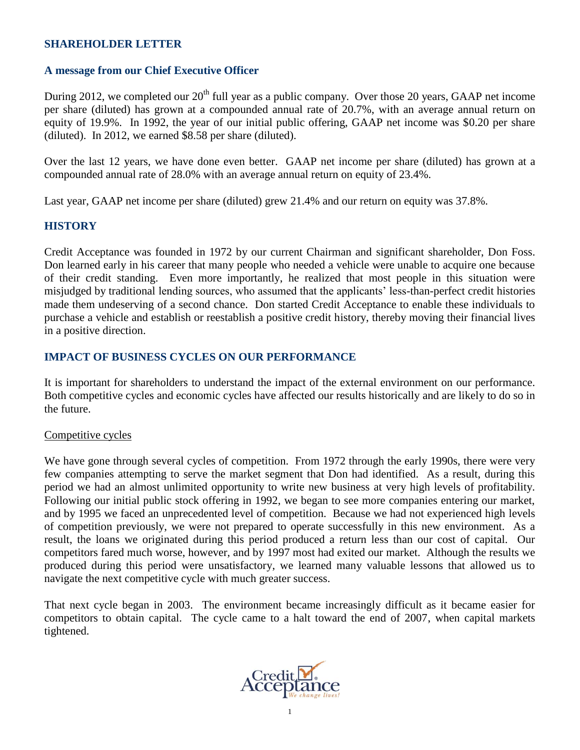#### **SHAREHOLDER LETTER**

# **A message from our Chief Executive Officer**

During 2012, we completed our  $20<sup>th</sup>$  full year as a public company. Over those 20 years, GAAP net income per share (diluted) has grown at a compounded annual rate of 20.7%, with an average annual return on equity of 19.9%. In 1992, the year of our initial public offering, GAAP net income was \$0.20 per share (diluted). In 2012, we earned \$8.58 per share (diluted).

Over the last 12 years, we have done even better. GAAP net income per share (diluted) has grown at a compounded annual rate of 28.0% with an average annual return on equity of 23.4%.

Last year, GAAP net income per share (diluted) grew 21.4% and our return on equity was 37.8%.

# **HISTORY**

Credit Acceptance was founded in 1972 by our current Chairman and significant shareholder, Don Foss. Don learned early in his career that many people who needed a vehicle were unable to acquire one because of their credit standing. Even more importantly, he realized that most people in this situation were misjudged by traditional lending sources, who assumed that the applicants' less-than-perfect credit histories made them undeserving of a second chance. Don started Credit Acceptance to enable these individuals to purchase a vehicle and establish or reestablish a positive credit history, thereby moving their financial lives in a positive direction.

# **IMPACT OF BUSINESS CYCLES ON OUR PERFORMANCE**

It is important for shareholders to understand the impact of the external environment on our performance. Both competitive cycles and economic cycles have affected our results historically and are likely to do so in the future.

#### Competitive cycles

We have gone through several cycles of competition. From 1972 through the early 1990s, there were very few companies attempting to serve the market segment that Don had identified. As a result, during this period we had an almost unlimited opportunity to write new business at very high levels of profitability. Following our initial public stock offering in 1992, we began to see more companies entering our market, and by 1995 we faced an unprecedented level of competition. Because we had not experienced high levels of competition previously, we were not prepared to operate successfully in this new environment. As a result, the loans we originated during this period produced a return less than our cost of capital. Our competitors fared much worse, however, and by 1997 most had exited our market. Although the results we produced during this period were unsatisfactory, we learned many valuable lessons that allowed us to navigate the next competitive cycle with much greater success.

That next cycle began in 2003. The environment became increasingly difficult as it became easier for competitors to obtain capital. The cycle came to a halt toward the end of 2007, when capital markets tightened.

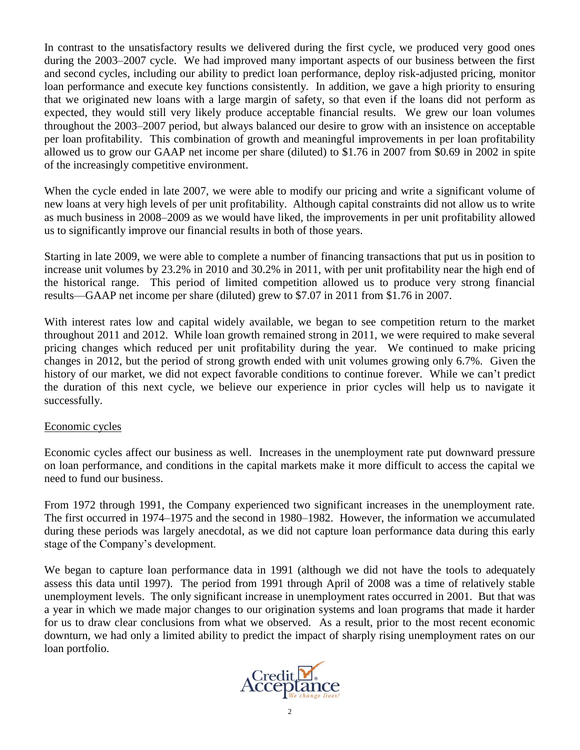In contrast to the unsatisfactory results we delivered during the first cycle, we produced very good ones during the 2003–2007 cycle. We had improved many important aspects of our business between the first and second cycles, including our ability to predict loan performance, deploy risk-adjusted pricing, monitor loan performance and execute key functions consistently. In addition, we gave a high priority to ensuring that we originated new loans with a large margin of safety, so that even if the loans did not perform as expected, they would still very likely produce acceptable financial results. We grew our loan volumes throughout the 2003–2007 period, but always balanced our desire to grow with an insistence on acceptable per loan profitability. This combination of growth and meaningful improvements in per loan profitability allowed us to grow our GAAP net income per share (diluted) to \$1.76 in 2007 from \$0.69 in 2002 in spite of the increasingly competitive environment.

When the cycle ended in late 2007, we were able to modify our pricing and write a significant volume of new loans at very high levels of per unit profitability. Although capital constraints did not allow us to write as much business in 2008–2009 as we would have liked, the improvements in per unit profitability allowed us to significantly improve our financial results in both of those years.

Starting in late 2009, we were able to complete a number of financing transactions that put us in position to increase unit volumes by 23.2% in 2010 and 30.2% in 2011, with per unit profitability near the high end of the historical range. This period of limited competition allowed us to produce very strong financial results—GAAP net income per share (diluted) grew to \$7.07 in 2011 from \$1.76 in 2007.

With interest rates low and capital widely available, we began to see competition return to the market throughout 2011 and 2012. While loan growth remained strong in 2011, we were required to make several pricing changes which reduced per unit profitability during the year. We continued to make pricing changes in 2012, but the period of strong growth ended with unit volumes growing only 6.7%. Given the history of our market, we did not expect favorable conditions to continue forever. While we can't predict the duration of this next cycle, we believe our experience in prior cycles will help us to navigate it successfully.

# Economic cycles

Economic cycles affect our business as well. Increases in the unemployment rate put downward pressure on loan performance, and conditions in the capital markets make it more difficult to access the capital we need to fund our business.

From 1972 through 1991, the Company experienced two significant increases in the unemployment rate. The first occurred in 1974–1975 and the second in 1980–1982. However, the information we accumulated during these periods was largely anecdotal, as we did not capture loan performance data during this early stage of the Company's development.

We began to capture loan performance data in 1991 (although we did not have the tools to adequately assess this data until 1997). The period from 1991 through April of 2008 was a time of relatively stable unemployment levels. The only significant increase in unemployment rates occurred in 2001. But that was a year in which we made major changes to our origination systems and loan programs that made it harder for us to draw clear conclusions from what we observed. As a result, prior to the most recent economic downturn, we had only a limited ability to predict the impact of sharply rising unemployment rates on our loan portfolio.

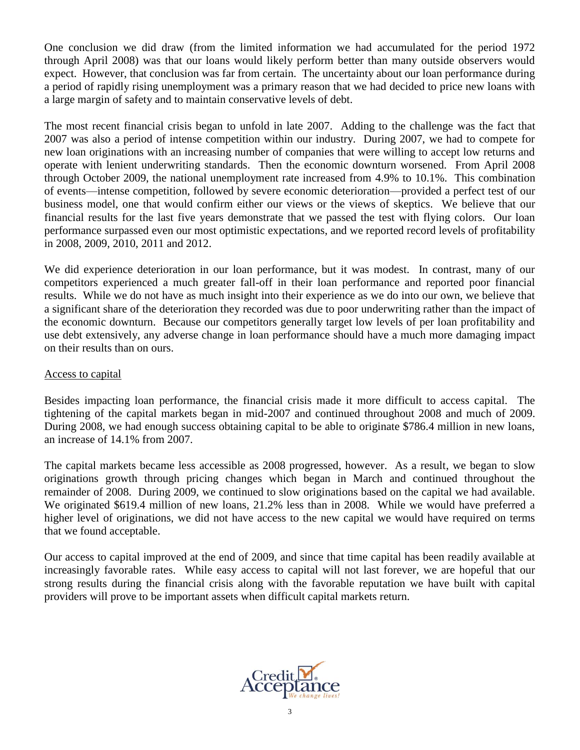One conclusion we did draw (from the limited information we had accumulated for the period 1972 through April 2008) was that our loans would likely perform better than many outside observers would expect. However, that conclusion was far from certain. The uncertainty about our loan performance during a period of rapidly rising unemployment was a primary reason that we had decided to price new loans with a large margin of safety and to maintain conservative levels of debt.

The most recent financial crisis began to unfold in late 2007. Adding to the challenge was the fact that 2007 was also a period of intense competition within our industry. During 2007, we had to compete for new loan originations with an increasing number of companies that were willing to accept low returns and operate with lenient underwriting standards. Then the economic downturn worsened. From April 2008 through October 2009, the national unemployment rate increased from 4.9% to 10.1%. This combination of events—intense competition, followed by severe economic deterioration—provided a perfect test of our business model, one that would confirm either our views or the views of skeptics. We believe that our financial results for the last five years demonstrate that we passed the test with flying colors. Our loan performance surpassed even our most optimistic expectations, and we reported record levels of profitability in 2008, 2009, 2010, 2011 and 2012.

We did experience deterioration in our loan performance, but it was modest. In contrast, many of our competitors experienced a much greater fall-off in their loan performance and reported poor financial results. While we do not have as much insight into their experience as we do into our own, we believe that a significant share of the deterioration they recorded was due to poor underwriting rather than the impact of the economic downturn. Because our competitors generally target low levels of per loan profitability and use debt extensively, any adverse change in loan performance should have a much more damaging impact on their results than on ours.

# Access to capital

Besides impacting loan performance, the financial crisis made it more difficult to access capital. The tightening of the capital markets began in mid-2007 and continued throughout 2008 and much of 2009. During 2008, we had enough success obtaining capital to be able to originate \$786.4 million in new loans, an increase of 14.1% from 2007.

The capital markets became less accessible as 2008 progressed, however. As a result, we began to slow originations growth through pricing changes which began in March and continued throughout the remainder of 2008. During 2009, we continued to slow originations based on the capital we had available. We originated \$619.4 million of new loans, 21.2% less than in 2008. While we would have preferred a higher level of originations, we did not have access to the new capital we would have required on terms that we found acceptable.

Our access to capital improved at the end of 2009, and since that time capital has been readily available at increasingly favorable rates. While easy access to capital will not last forever, we are hopeful that our strong results during the financial crisis along with the favorable reputation we have built with capital providers will prove to be important assets when difficult capital markets return.

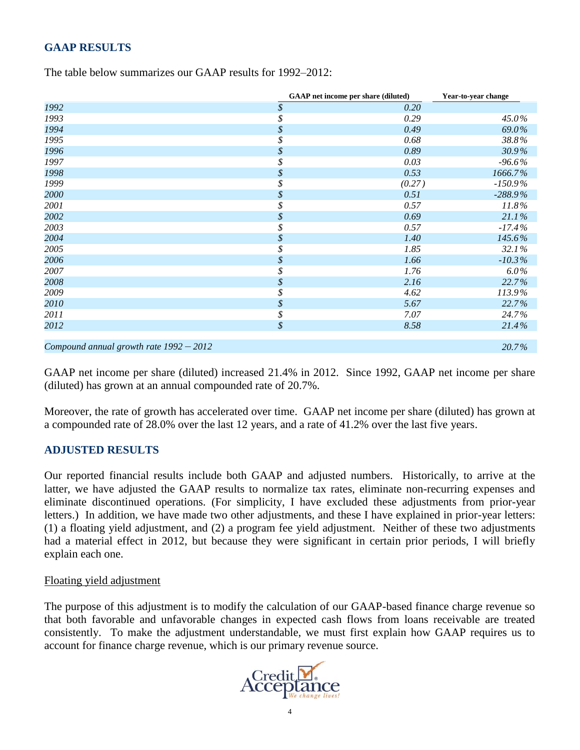# **GAAP RESULTS**

| The table below summarizes our GAAP results for 1992–2012: |  |  |  |
|------------------------------------------------------------|--|--|--|
|------------------------------------------------------------|--|--|--|

|                                           | <b>GAAP</b> net income per share (diluted) | Year-to-year change |
|-------------------------------------------|--------------------------------------------|---------------------|
| 1992                                      | \$<br>0.20                                 |                     |
| 1993                                      | \$<br>0.29                                 | 45.0%               |
| 1994                                      | \$<br>0.49                                 | 69.0%               |
| 1995                                      | \$<br>0.68                                 | 38.8%               |
| 1996                                      | \$<br>0.89                                 | 30.9%               |
| 1997                                      | \$<br>0.03                                 | $-96.6\%$           |
| 1998                                      | \$<br>0.53                                 | 1666.7%             |
| 1999                                      | \$<br>(0.27)                               | $-150.9\%$          |
| 2000                                      | \$<br>0.51                                 | $-288.9\%$          |
| 2001                                      | \$<br>0.57                                 | 11.8%               |
| 2002                                      | \$<br>0.69                                 | 21.1%               |
| 2003                                      | \$<br>0.57                                 | $-17.4%$            |
| 2004                                      | \$<br>1.40                                 | 145.6%              |
| 2005                                      | \$<br>1.85                                 | 32.1%               |
| 2006                                      | \$<br>1.66                                 | $-10.3\%$           |
| 2007                                      | \$<br>1.76                                 | 6.0%                |
| 2008                                      | \$<br>2.16                                 | 22.7%               |
| 2009                                      | \$<br>4.62                                 | 113.9%              |
| 2010                                      | \$<br>5.67                                 | 22.7%               |
| 2011                                      | \$<br>7.07                                 | 24.7%               |
| 2012                                      | \$<br>8.58                                 | 21.4%               |
| Compound annual growth rate $1992 - 2012$ |                                            | 20.7%               |

GAAP net income per share (diluted) increased 21.4% in 2012. Since 1992, GAAP net income per share (diluted) has grown at an annual compounded rate of 20.7%.

Moreover, the rate of growth has accelerated over time. GAAP net income per share (diluted) has grown at a compounded rate of 28.0% over the last 12 years, and a rate of 41.2% over the last five years.

#### **ADJUSTED RESULTS**

Our reported financial results include both GAAP and adjusted numbers. Historically, to arrive at the latter, we have adjusted the GAAP results to normalize tax rates, eliminate non-recurring expenses and eliminate discontinued operations. (For simplicity, I have excluded these adjustments from prior-year letters.) In addition, we have made two other adjustments, and these I have explained in prior-year letters: (1) a floating yield adjustment, and (2) a program fee yield adjustment. Neither of these two adjustments had a material effect in 2012, but because they were significant in certain prior periods, I will briefly explain each one.

#### Floating yield adjustment

The purpose of this adjustment is to modify the calculation of our GAAP-based finance charge revenue so that both favorable and unfavorable changes in expected cash flows from loans receivable are treated consistently. To make the adjustment understandable, we must first explain how GAAP requires us to account for finance charge revenue, which is our primary revenue source.

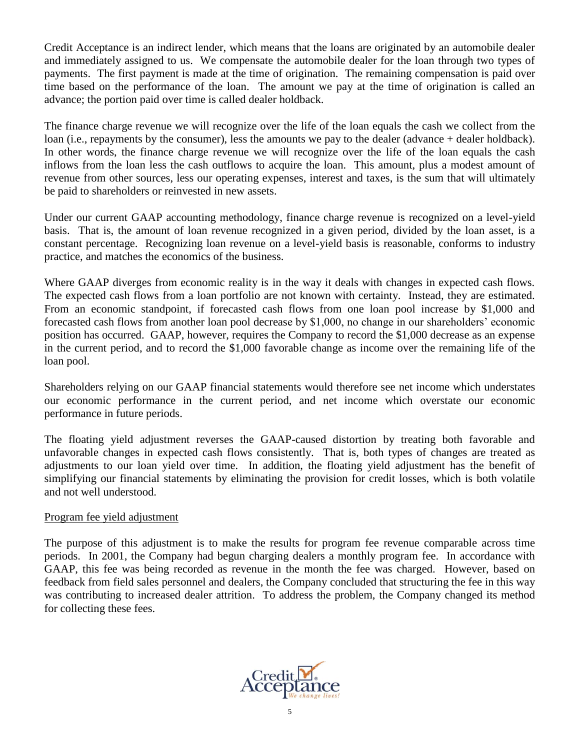Credit Acceptance is an indirect lender, which means that the loans are originated by an automobile dealer and immediately assigned to us. We compensate the automobile dealer for the loan through two types of payments. The first payment is made at the time of origination. The remaining compensation is paid over time based on the performance of the loan. The amount we pay at the time of origination is called an advance; the portion paid over time is called dealer holdback.

The finance charge revenue we will recognize over the life of the loan equals the cash we collect from the loan (i.e., repayments by the consumer), less the amounts we pay to the dealer (advance + dealer holdback). In other words, the finance charge revenue we will recognize over the life of the loan equals the cash inflows from the loan less the cash outflows to acquire the loan. This amount, plus a modest amount of revenue from other sources, less our operating expenses, interest and taxes, is the sum that will ultimately be paid to shareholders or reinvested in new assets.

Under our current GAAP accounting methodology, finance charge revenue is recognized on a level-yield basis. That is, the amount of loan revenue recognized in a given period, divided by the loan asset, is a constant percentage. Recognizing loan revenue on a level-yield basis is reasonable, conforms to industry practice, and matches the economics of the business.

Where GAAP diverges from economic reality is in the way it deals with changes in expected cash flows. The expected cash flows from a loan portfolio are not known with certainty. Instead, they are estimated. From an economic standpoint, if forecasted cash flows from one loan pool increase by \$1,000 and forecasted cash flows from another loan pool decrease by \$1,000, no change in our shareholders' economic position has occurred. GAAP, however, requires the Company to record the \$1,000 decrease as an expense in the current period, and to record the \$1,000 favorable change as income over the remaining life of the loan pool.

Shareholders relying on our GAAP financial statements would therefore see net income which understates our economic performance in the current period, and net income which overstate our economic performance in future periods.

The floating yield adjustment reverses the GAAP-caused distortion by treating both favorable and unfavorable changes in expected cash flows consistently. That is, both types of changes are treated as adjustments to our loan yield over time. In addition, the floating yield adjustment has the benefit of simplifying our financial statements by eliminating the provision for credit losses, which is both volatile and not well understood.

# Program fee yield adjustment

The purpose of this adjustment is to make the results for program fee revenue comparable across time periods. In 2001, the Company had begun charging dealers a monthly program fee. In accordance with GAAP, this fee was being recorded as revenue in the month the fee was charged. However, based on feedback from field sales personnel and dealers, the Company concluded that structuring the fee in this way was contributing to increased dealer attrition. To address the problem, the Company changed its method for collecting these fees.

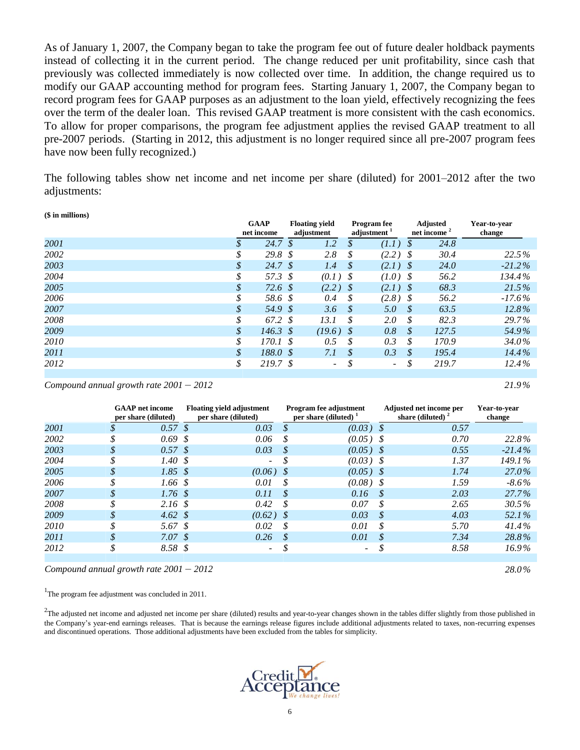As of January 1, 2007, the Company began to take the program fee out of future dealer holdback payments instead of collecting it in the current period. The change reduced per unit profitability, since cash that previously was collected immediately is now collected over time. In addition, the change required us to modify our GAAP accounting method for program fees. Starting January 1, 2007, the Company began to record program fees for GAAP purposes as an adjustment to the loan yield, effectively recognizing the fees over the term of the dealer loan. This revised GAAP treatment is more consistent with the cash economics. To allow for proper comparisons, the program fee adjustment applies the revised GAAP treatment to all pre-2007 periods. (Starting in 2012, this adjustment is no longer required since all pre-2007 program fees have now been fully recognized.)

The following tables show net income and net income per share (diluted) for 2001–2012 after the two adjustments:

**(\$ in millions)**

|      |    | <b>GAAP</b><br>net income |      | <b>Floating yield</b><br>adjustment |     | <b>Program</b> fee<br>adjustment <sup>1</sup> |               | <b>Adjusted</b><br>net income <sup>2</sup> | Year-to-year<br>change |
|------|----|---------------------------|------|-------------------------------------|-----|-----------------------------------------------|---------------|--------------------------------------------|------------------------|
| 2001 | S  | $24.7 \text{ }$ \$        |      | 1.2                                 | S   | (1.1)                                         | S             | 24.8                                       |                        |
| 2002 | \$ | 29.8 $$$                  |      | 2.8                                 | \$  | $(2.2)$ \$                                    |               | 30.4                                       | 22.5%                  |
| 2003 | \$ | 24.7 $\sqrt{s}$           |      | 1.4                                 | \$  | $(2.1)$ \$                                    |               | 24.0                                       | $-21.2\%$              |
| 2004 | \$ | 57.3 \$                   |      | $(0.1)$ \$                          |     | $(1.0)$ \$                                    |               | 56.2                                       | 134.4%                 |
| 2005 | \$ | 72.6 \$                   |      | $(2.2)$ \$                          |     | $(2.1)$ \$                                    |               | 68.3                                       | 21.5%                  |
| 2006 | \$ | 58.6 \$                   |      | 0.4                                 | \$  | $(2.8)$ \$                                    |               | 56.2                                       | $-17.6\%$              |
| 2007 | \$ | 54.9 \$                   |      | 3.6                                 | -\$ | 5.0                                           | - \$          | 63.5                                       | $12.8\%$               |
| 2008 | \$ | 67.2 \$                   |      | 13.1                                | S   | 2.0                                           | S             | 82.3                                       | 29.7%                  |
| 2009 | \$ | $146.3 \text{ }$ \$       |      | $(19.6)$ \$                         |     | 0.8                                           | \$            | 127.5                                      | 54.9%                  |
| 2010 | \$ | 170.1                     | - \$ | 0.5                                 | \$  | 0.3                                           | \$            | 170.9                                      | 34.0%                  |
| 2011 |    | 188.0 \$                  |      | 7.1                                 | \$  | 0.3                                           | $\mathcal{S}$ | 195.4                                      | $14.4\%$               |
| 2012 | \$ | 219.7 \$                  |      | $\overline{\phantom{0}}$            |     | $\overline{\phantom{0}}$                      | \$            | 219.7                                      | 12.4%                  |

 $\mu$  *Compound annual growth rate*  $2001 - 2012$  $21.9\%$ 

|      |                            | <b>GAAP</b> net income<br>per share (diluted) | <b>Floating yield adjustment</b><br>per share (diluted) |      | <b>Program fee adjustment</b><br>per share (diluted) $\frac{1}{2}$ |    | Adjusted net income per<br>share (diluted) $2$ | Year-to-vear<br>change |
|------|----------------------------|-----------------------------------------------|---------------------------------------------------------|------|--------------------------------------------------------------------|----|------------------------------------------------|------------------------|
| 2001 |                            | $0.57 \text{ }$ \$                            | 0.03                                                    | S    | $(0.03)$ \$                                                        |    | 0.57                                           |                        |
| 2002 | S                          | $0.69 \text{ s}$                              | 0.06                                                    | .8   | $(0.05)$ \$                                                        |    | 0.70                                           | 22.8%                  |
| 2003 | \$                         | $0.57 \text{ }$ \$                            | 0.03                                                    | S    | $(0.05)$ \$                                                        |    | 0.55                                           | $-21.4\%$              |
| 2004 |                            | 1.40S                                         | -                                                       |      | $(0.03)$ \$                                                        |    | 1.37                                           | 149.1%                 |
| 2005 | \$                         | $1.85 \text{ }$ \$                            | $(0.06)$ \$                                             |      | $(0.05)$ \$                                                        |    | 1.74                                           | 27.0%                  |
| 2006 | \$                         | $1.66 \text{ }$ \$                            | 0.01                                                    | S    | $(0.08)$ \$                                                        |    | 1.59                                           | $-8.6\%$               |
| 2007 | \$                         | $1.76 \text{ s}$                              | 0.11                                                    | S.   | 0.16                                                               |    | 2.03                                           | $27.7\%$               |
| 2008 |                            | 2.16S                                         | 0.42                                                    | .Я   | 0.07                                                               | S  | 2.65                                           | 30.5%                  |
| 2009 | \$                         | 4.62 $\sqrt{s}$                               | (0.62)                                                  | - \$ | 0.03                                                               | S  | 4.03                                           | 52.1%                  |
| 2010 | \$                         | 5.67 \$                                       | 0.02                                                    | -8   | 0.01                                                               | .S | 5.70                                           | $41.4\%$               |
| 2011 | $\boldsymbol{\mathcal{S}}$ | 7.07 \$                                       | 0.26                                                    | -8   | 0.01                                                               | S  | 7.34                                           | 28.8%                  |
| 2012 | \$                         | 8.58 \$                                       | ۰.                                                      | \$   | ۰.                                                                 |    | 8.58                                           | 16.9%                  |
|      |                            |                                               |                                                         |      |                                                                    |    |                                                |                        |

*Compound annual growth rate 2001* – *2012 28.0%*

<sup>1</sup>The program fee adjustment was concluded in 2011.

 $2$ The adjusted net income and adjusted net income per share (diluted) results and year-to-year changes shown in the tables differ slightly from those published in the Company's year-end earnings releases. That is because the earnings release figures include additional adjustments related to taxes, non-recurring expenses and discontinued operations. Those additional adjustments have been excluded from the tables for simplicity.

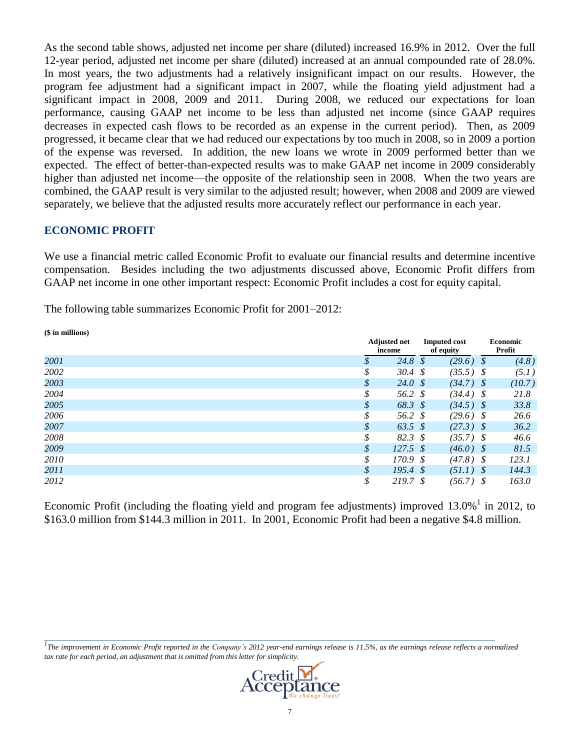As the second table shows, adjusted net income per share (diluted) increased 16.9% in 2012. Over the full 12-year period, adjusted net income per share (diluted) increased at an annual compounded rate of 28.0%. In most years, the two adjustments had a relatively insignificant impact on our results. However, the program fee adjustment had a significant impact in 2007, while the floating yield adjustment had a significant impact in 2008, 2009 and 2011. During 2008, we reduced our expectations for loan performance, causing GAAP net income to be less than adjusted net income (since GAAP requires decreases in expected cash flows to be recorded as an expense in the current period). Then, as 2009 progressed, it became clear that we had reduced our expectations by too much in 2008, so in 2009 a portion of the expense was reversed. In addition, the new loans we wrote in 2009 performed better than we expected. The effect of better-than-expected results was to make GAAP net income in 2009 considerably higher than adjusted net income—the opposite of the relationship seen in 2008. When the two years are combined, the GAAP result is very similar to the adjusted result; however, when 2008 and 2009 are viewed separately, we believe that the adjusted results more accurately reflect our performance in each year.

# **ECONOMIC PROFIT**

We use a financial metric called Economic Profit to evaluate our financial results and determine incentive compensation. Besides including the two adjustments discussed above, Economic Profit differs from GAAP net income in one other important respect: Economic Profit includes a cost for equity capital.

The following table summarizes Economic Profit for 2001–2012:

| (\$ in millions) |               |                               |                                  |                           |
|------------------|---------------|-------------------------------|----------------------------------|---------------------------|
|                  |               | <b>Adjusted net</b><br>income | <b>Imputed cost</b><br>of equity | <b>Economic</b><br>Profit |
| 2001             |               | 24.8 $\frac{1}{2}$            | (29.6)                           | (4.8)<br>-\$              |
| 2002             | \$            | $30.4 \text{ }$ \$            | $(35.5)$ \$                      | (5.1)                     |
| 2003             | \$            | 24.0 $\frac{1}{2}$            | $(34.7)$ \$                      | (10.7)                    |
| 2004             | \$            | 56.2 \$                       | $(34.4)$ \$                      | 21.8                      |
| 2005             | \$            | 68.3 \$                       | $(34.5)$ \$                      | 33.8                      |
| 2006             | \$            | 56.2 \$                       | $(29.6)$ \$                      | 26.6                      |
| 2007             | \$            | 63.5 $\sqrt{s}$               | $(27.3)$ \$                      | 36.2                      |
| 2008             | \$            | 82.3 <sup>°</sup>             | $(35.7)$ \$                      | 46.6                      |
| 2009             | $\mathcal{S}$ | $127.5 \text{ }$ \$           | $(46.0)$ \$                      | 81.5                      |
| 2010             | \$            | 170.9 \$                      | $(47.8)$ \$                      | 123.1                     |
| 2011             | \$            | $195.4 \text{ }$ \$           | $(51.1)$ \$                      | 144.3                     |
| 2012             | \$            | 219.7 \$                      | $(56.7)$ \$                      | 163.0                     |

Economic Profit (including the floating yield and program fee adjustments) improved  $13.0\%$ <sup>1</sup> in 2012, to \$163.0 million from \$144.3 million in 2011. In 2001, Economic Profit had been a negative \$4.8 million.

*1 The improvement in Economic Profit reported in the Company's 2012 year-end earnings release is 11.5%, as the earnings release reflects a normalized tax rate for each period, an adjustment that is omitted from this letter for simplicity.*

*\_\_\_\_\_\_\_\_\_\_\_\_\_\_\_\_\_\_\_\_\_\_\_\_\_\_\_\_\_\_\_\_\_\_\_\_\_\_\_\_\_\_\_\_\_\_\_\_\_\_\_\_\_\_\_\_\_\_\_\_\_\_\_\_\_\_\_\_\_\_\_\_\_\_\_\_\_\_\_\_\_\_\_\_\_\_\_\_\_\_\_\_\_\_\_\_\_\_\_\_\_\_\_\_\_\_\_\_\_\_\_\_\_\_\_\_\_\_\_*

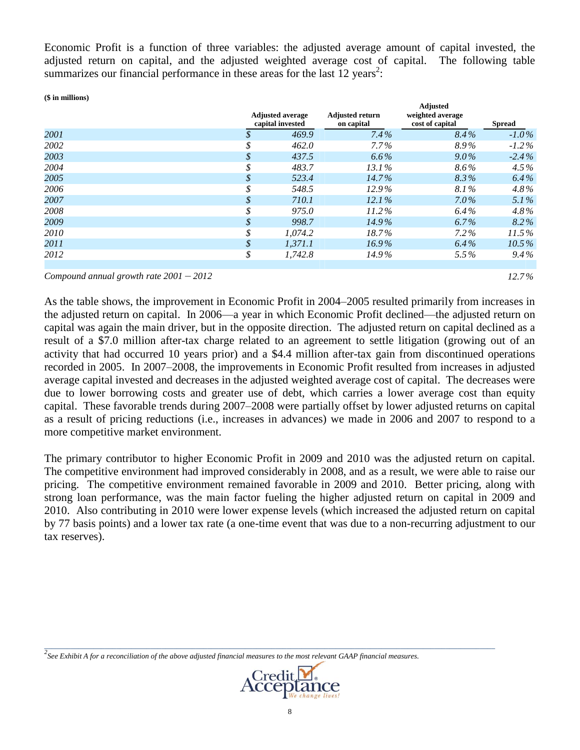Economic Profit is a function of three variables: the adjusted average amount of capital invested, the adjusted return on capital, and the adjusted weighted average cost of capital. The following table summarizes our financial performance in these areas for the last 12 years<sup>2</sup>:

**(\$ in millions)**

|      |    | <b>Adjusted average</b><br>capital invested | <b>Adjusted return</b><br>on capital | <b>Adjusted</b><br>weighted average<br>cost of capital | <b>Spread</b> |
|------|----|---------------------------------------------|--------------------------------------|--------------------------------------------------------|---------------|
| 2001 |    | 469.9                                       | $7.4\%$                              | $8.4\%$                                                | $-1.0\%$      |
| 2002 | J. | 462.0                                       | $7.7\%$                              | 8.9%                                                   | $-1.2\%$      |
| 2003 | \$ | 437.5                                       | $6.6\%$                              | $9.0\%$                                                | $-2.4\%$      |
| 2004 | J. | 483.7                                       | $13.1\%$                             | 8.6%                                                   | $4.5\%$       |
| 2005 | J. | 523.4                                       | $14.7\%$                             | 8.3%                                                   | $6.4\%$       |
| 2006 | J. | 548.5                                       | $12.9\%$                             | 8.1%                                                   | $4.8\%$       |
| 2007 | \$ | 710.1                                       | $12.1\%$                             | $7.0\%$                                                | 5.1%          |
| 2008 | J. | 975.0                                       | $11.2\%$                             | $6.4\%$                                                | $4.8\%$       |
| 2009 | \$ | 998.7                                       | $14.9\%$                             | $6.7\%$                                                | 8.2%          |
| 2010 | \$ | 1.074.2                                     | 18.7%                                | $7.2\%$                                                | 11.5%         |
| 2011 | \$ | 1.371.1                                     | $16.9\%$                             | $6.4\%$                                                | $10.5\%$      |
| 2012 | \$ | 1,742.8                                     | 14.9%                                | $5.5\%$                                                | $9.4\%$       |
|      |    |                                             |                                      |                                                        |               |

*Compound annual growth rate 2001* – *2012 12.7 %*

As the table shows, the improvement in Economic Profit in 2004–2005 resulted primarily from increases in the adjusted return on capital. In 2006—a year in which Economic Profit declined—the adjusted return on capital was again the main driver, but in the opposite direction. The adjusted return on capital declined as a result of a \$7.0 million after-tax charge related to an agreement to settle litigation (growing out of an activity that had occurred 10 years prior) and a \$4.4 million after-tax gain from discontinued operations recorded in 2005. In 2007–2008, the improvements in Economic Profit resulted from increases in adjusted average capital invested and decreases in the adjusted weighted average cost of capital. The decreases were due to lower borrowing costs and greater use of debt, which carries a lower average cost than equity capital. These favorable trends during 2007–2008 were partially offset by lower adjusted returns on capital as a result of pricing reductions (i.e., increases in advances) we made in 2006 and 2007 to respond to a more competitive market environment.

The primary contributor to higher Economic Profit in 2009 and 2010 was the adjusted return on capital. The competitive environment had improved considerably in 2008, and as a result, we were able to raise our pricing. The competitive environment remained favorable in 2009 and 2010. Better pricing, along with strong loan performance, was the main factor fueling the higher adjusted return on capital in 2009 and 2010. Also contributing in 2010 were lower expense levels (which increased the adjusted return on capital by 77 basis points) and a lower tax rate (a one-time event that was due to a non-recurring adjustment to our tax reserves).

*2 See Exhibit A for a reconciliation of the above adjusted financial measures to the most relevant GAAP financial measures.*



*\_\_\_\_\_\_\_\_\_\_\_\_\_\_\_\_\_\_\_\_\_\_\_\_\_\_\_\_\_\_\_\_\_\_\_\_\_\_\_\_\_\_\_\_\_\_\_\_\_\_\_\_\_\_\_\_\_\_\_\_\_\_\_\_\_\_\_\_\_\_\_\_\_\_\_\_\_\_\_\_\_\_\_\_\_\_\_\_\_\_\_\_\_\_\_\_\_\_\_\_\_\_\_\_\_\_\_\_\_\_\_\_\_\_\_\_\_\_\_*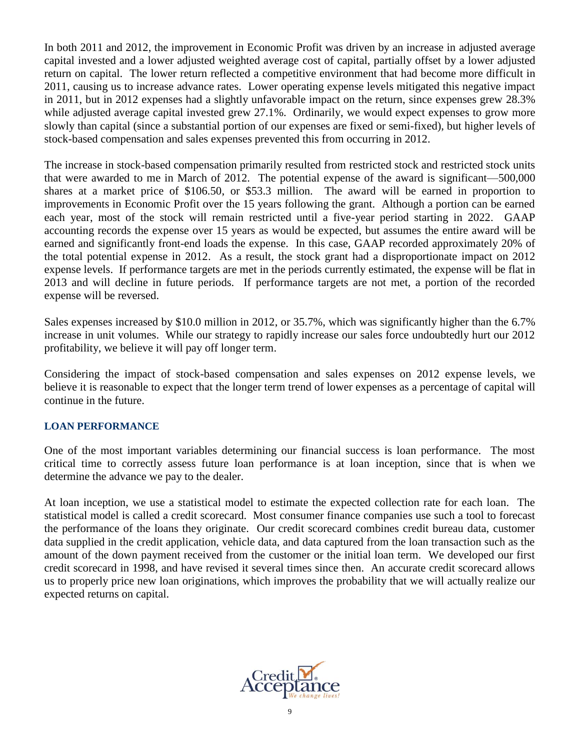In both 2011 and 2012, the improvement in Economic Profit was driven by an increase in adjusted average capital invested and a lower adjusted weighted average cost of capital, partially offset by a lower adjusted return on capital. The lower return reflected a competitive environment that had become more difficult in 2011, causing us to increase advance rates. Lower operating expense levels mitigated this negative impact in 2011, but in 2012 expenses had a slightly unfavorable impact on the return, since expenses grew 28.3% while adjusted average capital invested grew 27.1%. Ordinarily, we would expect expenses to grow more slowly than capital (since a substantial portion of our expenses are fixed or semi-fixed), but higher levels of stock-based compensation and sales expenses prevented this from occurring in 2012.

The increase in stock-based compensation primarily resulted from restricted stock and restricted stock units that were awarded to me in March of 2012. The potential expense of the award is significant—500,000 shares at a market price of \$106.50, or \$53.3 million. The award will be earned in proportion to improvements in Economic Profit over the 15 years following the grant. Although a portion can be earned each year, most of the stock will remain restricted until a five-year period starting in 2022. GAAP accounting records the expense over 15 years as would be expected, but assumes the entire award will be earned and significantly front-end loads the expense. In this case, GAAP recorded approximately 20% of the total potential expense in 2012. As a result, the stock grant had a disproportionate impact on 2012 expense levels. If performance targets are met in the periods currently estimated, the expense will be flat in 2013 and will decline in future periods. If performance targets are not met, a portion of the recorded expense will be reversed.

Sales expenses increased by \$10.0 million in 2012, or 35.7%, which was significantly higher than the 6.7% increase in unit volumes. While our strategy to rapidly increase our sales force undoubtedly hurt our 2012 profitability, we believe it will pay off longer term.

Considering the impact of stock-based compensation and sales expenses on 2012 expense levels, we believe it is reasonable to expect that the longer term trend of lower expenses as a percentage of capital will continue in the future.

#### **LOAN PERFORMANCE**

One of the most important variables determining our financial success is loan performance. The most critical time to correctly assess future loan performance is at loan inception, since that is when we determine the advance we pay to the dealer.

At loan inception, we use a statistical model to estimate the expected collection rate for each loan. The statistical model is called a credit scorecard. Most consumer finance companies use such a tool to forecast the performance of the loans they originate. Our credit scorecard combines credit bureau data, customer data supplied in the credit application, vehicle data, and data captured from the loan transaction such as the amount of the down payment received from the customer or the initial loan term. We developed our first credit scorecard in 1998, and have revised it several times since then. An accurate credit scorecard allows us to properly price new loan originations, which improves the probability that we will actually realize our expected returns on capital.

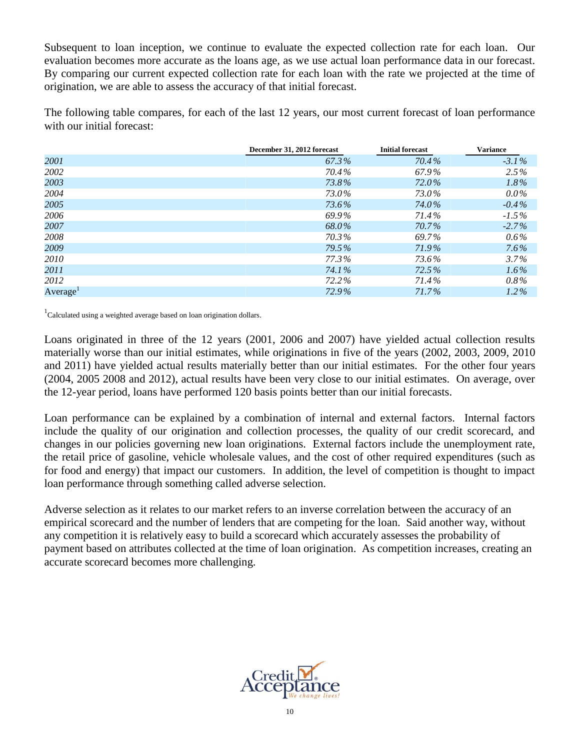Subsequent to loan inception, we continue to evaluate the expected collection rate for each loan. Our evaluation becomes more accurate as the loans age, as we use actual loan performance data in our forecast. By comparing our current expected collection rate for each loan with the rate we projected at the time of origination, we are able to assess the accuracy of that initial forecast.

The following table compares, for each of the last 12 years, our most current forecast of loan performance with our initial forecast:

|                      | December 31, 2012 forecast | <b>Initial forecast</b> | <b>Variance</b> |
|----------------------|----------------------------|-------------------------|-----------------|
| 2001                 | 67.3%                      | 70.4%                   | $-3.1\%$        |
| 2002                 | 70.4%                      | 67.9%                   | $2.5\%$         |
| 2003                 | 73.8%                      | 72.0%                   | $1.8\%$         |
| 2004                 | 73.0%                      | 73.0%                   | $0.0\%$         |
| 2005                 | 73.6%                      | 74.0%                   | $-0.4\%$        |
| 2006                 | 69.9%                      | 71.4%                   | $-1.5\%$        |
| 2007                 | 68.0%                      | 70.7%                   | $-2.7\%$        |
| 2008                 | 70.3%                      | 69.7%                   | $0.6\%$         |
| 2009                 | 79.5%                      | 71.9%                   | $7.6\%$         |
| 2010                 | 77.3%                      | 73.6%                   | $3.7\%$         |
| 2011                 | 74.1%                      | 72.5%                   | $1.6\%$         |
| 2012                 | 72.2%                      | 71.4%                   | $0.8\%$         |
| Average <sup>1</sup> | 72.9%                      | 71.7%                   | $1.2\%$         |

 $1$ Calculated using a weighted average based on loan origination dollars.

Loans originated in three of the 12 years (2001, 2006 and 2007) have yielded actual collection results materially worse than our initial estimates, while originations in five of the years (2002, 2003, 2009, 2010 and 2011) have yielded actual results materially better than our initial estimates. For the other four years (2004, 2005 2008 and 2012), actual results have been very close to our initial estimates. On average, over the 12-year period, loans have performed 120 basis points better than our initial forecasts.

Loan performance can be explained by a combination of internal and external factors. Internal factors include the quality of our origination and collection processes, the quality of our credit scorecard, and changes in our policies governing new loan originations. External factors include the unemployment rate, the retail price of gasoline, vehicle wholesale values, and the cost of other required expenditures (such as for food and energy) that impact our customers. In addition, the level of competition is thought to impact loan performance through something called adverse selection.

Adverse selection as it relates to our market refers to an inverse correlation between the accuracy of an empirical scorecard and the number of lenders that are competing for the loan. Said another way, without any competition it is relatively easy to build a scorecard which accurately assesses the probability of payment based on attributes collected at the time of loan origination. As competition increases, creating an accurate scorecard becomes more challenging.

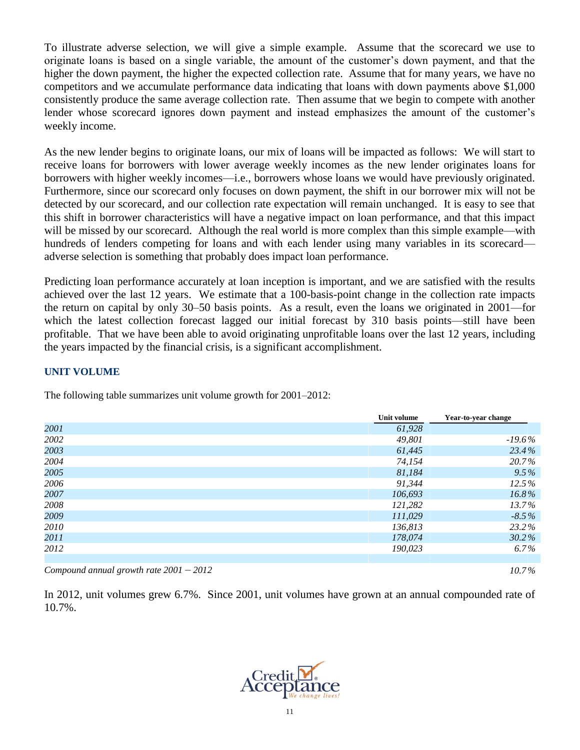To illustrate adverse selection, we will give a simple example. Assume that the scorecard we use to originate loans is based on a single variable, the amount of the customer's down payment, and that the higher the down payment, the higher the expected collection rate. Assume that for many years, we have no competitors and we accumulate performance data indicating that loans with down payments above \$1,000 consistently produce the same average collection rate. Then assume that we begin to compete with another lender whose scorecard ignores down payment and instead emphasizes the amount of the customer's weekly income.

As the new lender begins to originate loans, our mix of loans will be impacted as follows: We will start to receive loans for borrowers with lower average weekly incomes as the new lender originates loans for borrowers with higher weekly incomes—i.e., borrowers whose loans we would have previously originated. Furthermore, since our scorecard only focuses on down payment, the shift in our borrower mix will not be detected by our scorecard, and our collection rate expectation will remain unchanged. It is easy to see that this shift in borrower characteristics will have a negative impact on loan performance, and that this impact will be missed by our scorecard. Although the real world is more complex than this simple example—with hundreds of lenders competing for loans and with each lender using many variables in its scorecard adverse selection is something that probably does impact loan performance.

Predicting loan performance accurately at loan inception is important, and we are satisfied with the results achieved over the last 12 years. We estimate that a 100-basis-point change in the collection rate impacts the return on capital by only 30–50 basis points. As a result, even the loans we originated in 2001—for which the latest collection forecast lagged our initial forecast by 310 basis points—still have been profitable. That we have been able to avoid originating unprofitable loans over the last 12 years, including the years impacted by the financial crisis, is a significant accomplishment.

# **UNIT VOLUME**

The following table summarizes unit volume growth for 2001–2012:

|      | Unit volume | Year-to-year change |
|------|-------------|---------------------|
| 2001 | 61,928      |                     |
| 2002 | 49,801      | $-19.6\,\%$         |
| 2003 | 61,445      | 23.4%               |
| 2004 | 74,154      | 20.7%               |
| 2005 | 81,184      | $9.5\%$             |
| 2006 | 91,344      | 12.5%               |
| 2007 | 106,693     | $16.8\%$            |
| 2008 | 121,282     | $13.7\%$            |
| 2009 | 111,029     | $-8.5\%$            |
| 2010 | 136,813     | 23.2%               |
| 2011 | 178,074     | $30.2\%$            |
| 2012 | 190,023     | 6.7%                |
|      |             |                     |

*Compound annual growth rate 2001* – *2012 10.7 %*

In 2012, unit volumes grew 6.7%. Since 2001, unit volumes have grown at an annual compounded rate of 10.7%.

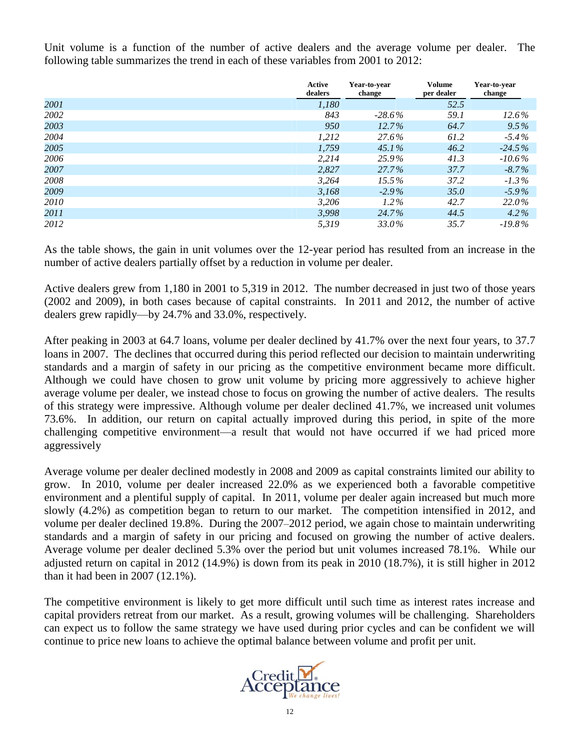Unit volume is a function of the number of active dealers and the average volume per dealer. The following table summarizes the trend in each of these variables from 2001 to 2012:

|      | Active<br>dealers | Year-to-vear<br>change | <b>Volume</b><br>per dealer | Year-to-vear<br>change |
|------|-------------------|------------------------|-----------------------------|------------------------|
| 2001 | 1,180             |                        | 52.5                        |                        |
| 2002 | 843               | $-28.6\%$              | 59.1                        | 12.6%                  |
| 2003 | 950               | 12.7%                  | 64.7                        | $9.5\%$                |
| 2004 | 1,212             | 27.6%                  | 61.2                        | $-5.4\%$               |
| 2005 | 1,759             | $45.1\%$               | 46.2                        | $-24.5\%$              |
| 2006 | 2,214             | 25.9%                  | 41.3                        | $-10.6\%$              |
| 2007 | 2,827             | $27.7\%$               | 37.7                        | $-8.7\%$               |
| 2008 | 3,264             | $15.5\%$               | 37.2                        | $-1.3\%$               |
| 2009 | 3,168             | $-2.9\%$               | 35.0                        | $-5.9\%$               |
| 2010 | 3,206             | $1.2\%$                | 42.7                        | 22.0%                  |
| 2011 | 3,998             | 24.7%                  | 44.5                        | $4.2\%$                |
| 2012 | 5,319             | 33.0%                  | 35.7                        | $-19.8\%$              |

As the table shows, the gain in unit volumes over the 12-year period has resulted from an increase in the number of active dealers partially offset by a reduction in volume per dealer.

Active dealers grew from 1,180 in 2001 to 5,319 in 2012. The number decreased in just two of those years (2002 and 2009), in both cases because of capital constraints. In 2011 and 2012, the number of active dealers grew rapidly—by 24.7% and 33.0%, respectively.

After peaking in 2003 at 64.7 loans, volume per dealer declined by 41.7% over the next four years, to 37.7 loans in 2007. The declines that occurred during this period reflected our decision to maintain underwriting standards and a margin of safety in our pricing as the competitive environment became more difficult. Although we could have chosen to grow unit volume by pricing more aggressively to achieve higher average volume per dealer, we instead chose to focus on growing the number of active dealers. The results of this strategy were impressive. Although volume per dealer declined 41.7%, we increased unit volumes 73.6%. In addition, our return on capital actually improved during this period, in spite of the more challenging competitive environment—a result that would not have occurred if we had priced more aggressively

Average volume per dealer declined modestly in 2008 and 2009 as capital constraints limited our ability to grow. In 2010, volume per dealer increased 22.0% as we experienced both a favorable competitive environment and a plentiful supply of capital. In 2011, volume per dealer again increased but much more slowly (4.2%) as competition began to return to our market. The competition intensified in 2012, and volume per dealer declined 19.8%. During the 2007–2012 period, we again chose to maintain underwriting standards and a margin of safety in our pricing and focused on growing the number of active dealers. Average volume per dealer declined 5.3% over the period but unit volumes increased 78.1%. While our adjusted return on capital in 2012 (14.9%) is down from its peak in 2010 (18.7%), it is still higher in 2012 than it had been in 2007 (12.1%).

The competitive environment is likely to get more difficult until such time as interest rates increase and capital providers retreat from our market. As a result, growing volumes will be challenging. Shareholders can expect us to follow the same strategy we have used during prior cycles and can be confident we will continue to price new loans to achieve the optimal balance between volume and profit per unit.

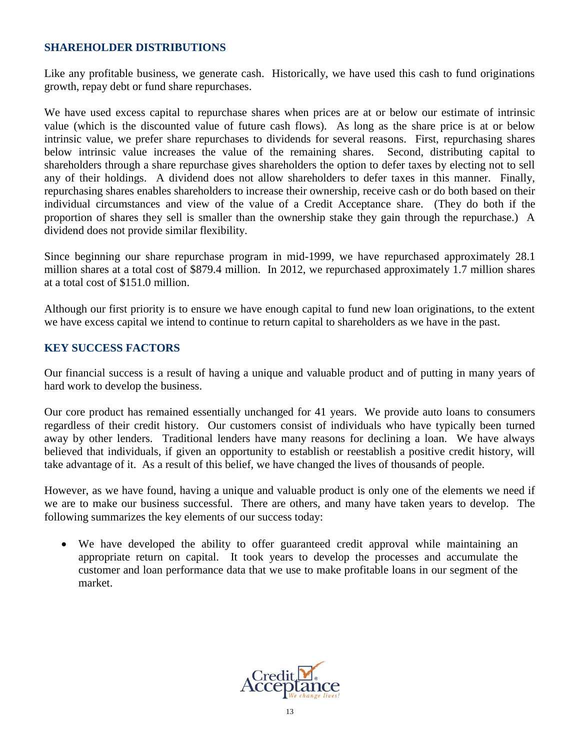# **SHAREHOLDER DISTRIBUTIONS**

Like any profitable business, we generate cash. Historically, we have used this cash to fund originations growth, repay debt or fund share repurchases.

We have used excess capital to repurchase shares when prices are at or below our estimate of intrinsic value (which is the discounted value of future cash flows). As long as the share price is at or below intrinsic value, we prefer share repurchases to dividends for several reasons. First, repurchasing shares below intrinsic value increases the value of the remaining shares. Second, distributing capital to shareholders through a share repurchase gives shareholders the option to defer taxes by electing not to sell any of their holdings. A dividend does not allow shareholders to defer taxes in this manner. Finally, repurchasing shares enables shareholders to increase their ownership, receive cash or do both based on their individual circumstances and view of the value of a Credit Acceptance share. (They do both if the proportion of shares they sell is smaller than the ownership stake they gain through the repurchase.) A dividend does not provide similar flexibility.

Since beginning our share repurchase program in mid-1999, we have repurchased approximately 28.1 million shares at a total cost of \$879.4 million. In 2012, we repurchased approximately 1.7 million shares at a total cost of \$151.0 million.

Although our first priority is to ensure we have enough capital to fund new loan originations, to the extent we have excess capital we intend to continue to return capital to shareholders as we have in the past.

# **KEY SUCCESS FACTORS**

Our financial success is a result of having a unique and valuable product and of putting in many years of hard work to develop the business.

Our core product has remained essentially unchanged for 41 years. We provide auto loans to consumers regardless of their credit history. Our customers consist of individuals who have typically been turned away by other lenders. Traditional lenders have many reasons for declining a loan. We have always believed that individuals, if given an opportunity to establish or reestablish a positive credit history, will take advantage of it. As a result of this belief, we have changed the lives of thousands of people.

However, as we have found, having a unique and valuable product is only one of the elements we need if we are to make our business successful. There are others, and many have taken years to develop. The following summarizes the key elements of our success today:

 We have developed the ability to offer guaranteed credit approval while maintaining an appropriate return on capital. It took years to develop the processes and accumulate the customer and loan performance data that we use to make profitable loans in our segment of the market.

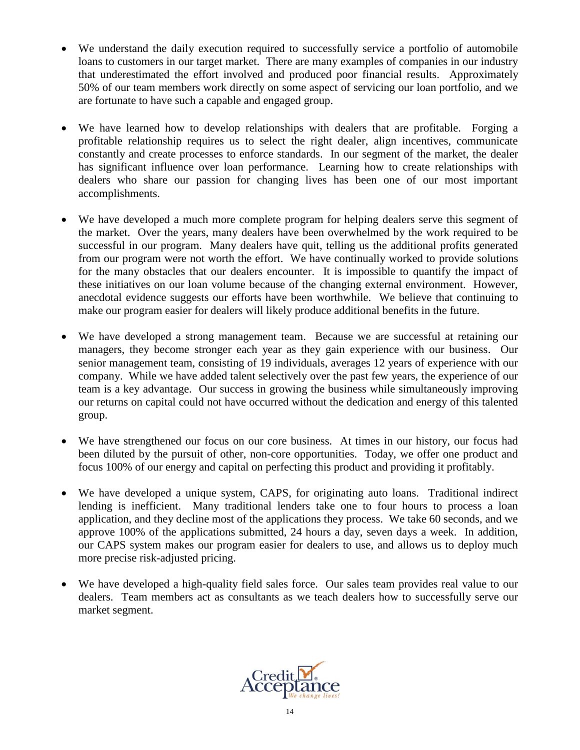- We understand the daily execution required to successfully service a portfolio of automobile loans to customers in our target market. There are many examples of companies in our industry that underestimated the effort involved and produced poor financial results. Approximately 50% of our team members work directly on some aspect of servicing our loan portfolio, and we are fortunate to have such a capable and engaged group.
- We have learned how to develop relationships with dealers that are profitable. Forging a profitable relationship requires us to select the right dealer, align incentives, communicate constantly and create processes to enforce standards. In our segment of the market, the dealer has significant influence over loan performance. Learning how to create relationships with dealers who share our passion for changing lives has been one of our most important accomplishments.
- We have developed a much more complete program for helping dealers serve this segment of the market. Over the years, many dealers have been overwhelmed by the work required to be successful in our program. Many dealers have quit, telling us the additional profits generated from our program were not worth the effort. We have continually worked to provide solutions for the many obstacles that our dealers encounter. It is impossible to quantify the impact of these initiatives on our loan volume because of the changing external environment. However, anecdotal evidence suggests our efforts have been worthwhile. We believe that continuing to make our program easier for dealers will likely produce additional benefits in the future.
- We have developed a strong management team. Because we are successful at retaining our managers, they become stronger each year as they gain experience with our business. Our senior management team, consisting of 19 individuals, averages 12 years of experience with our company. While we have added talent selectively over the past few years, the experience of our team is a key advantage. Our success in growing the business while simultaneously improving our returns on capital could not have occurred without the dedication and energy of this talented group.
- We have strengthened our focus on our core business. At times in our history, our focus had been diluted by the pursuit of other, non-core opportunities. Today, we offer one product and focus 100% of our energy and capital on perfecting this product and providing it profitably.
- We have developed a unique system, CAPS, for originating auto loans. Traditional indirect lending is inefficient. Many traditional lenders take one to four hours to process a loan application, and they decline most of the applications they process. We take 60 seconds, and we approve 100% of the applications submitted, 24 hours a day, seven days a week. In addition, our CAPS system makes our program easier for dealers to use, and allows us to deploy much more precise risk-adjusted pricing.
- We have developed a high-quality field sales force. Our sales team provides real value to our dealers. Team members act as consultants as we teach dealers how to successfully serve our market segment.

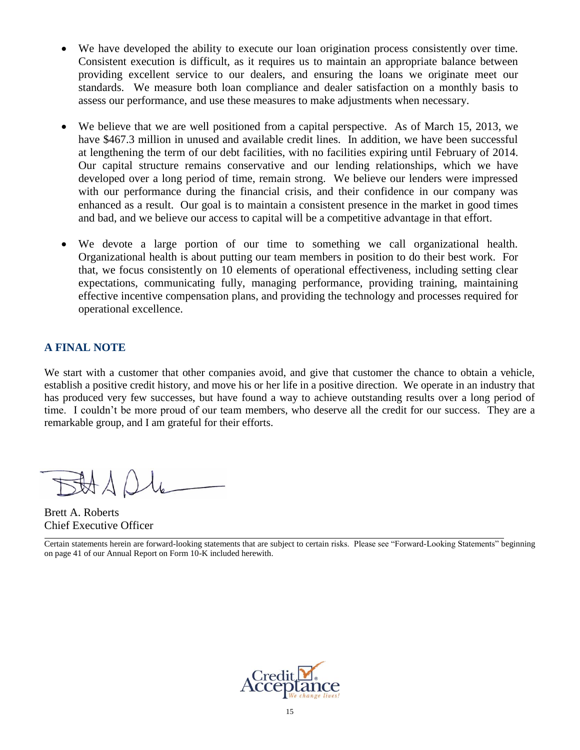- We have developed the ability to execute our loan origination process consistently over time. Consistent execution is difficult, as it requires us to maintain an appropriate balance between providing excellent service to our dealers, and ensuring the loans we originate meet our standards. We measure both loan compliance and dealer satisfaction on a monthly basis to assess our performance, and use these measures to make adjustments when necessary.
- We believe that we are well positioned from a capital perspective. As of March 15, 2013, we have \$467.3 million in unused and available credit lines. In addition, we have been successful at lengthening the term of our debt facilities, with no facilities expiring until February of 2014. Our capital structure remains conservative and our lending relationships, which we have developed over a long period of time, remain strong. We believe our lenders were impressed with our performance during the financial crisis, and their confidence in our company was enhanced as a result. Our goal is to maintain a consistent presence in the market in good times and bad, and we believe our access to capital will be a competitive advantage in that effort.
- We devote a large portion of our time to something we call organizational health. Organizational health is about putting our team members in position to do their best work. For that, we focus consistently on 10 elements of operational effectiveness, including setting clear expectations, communicating fully, managing performance, providing training, maintaining effective incentive compensation plans, and providing the technology and processes required for operational excellence.

# **A FINAL NOTE**

We start with a customer that other companies avoid, and give that customer the chance to obtain a vehicle, establish a positive credit history, and move his or her life in a positive direction. We operate in an industry that has produced very few successes, but have found a way to achieve outstanding results over a long period of time. I couldn't be more proud of our team members, who deserve all the credit for our success. They are a remarkable group, and I am grateful for their efforts.

Brett A. Roberts Chief Executive Officer

Certain statements herein are forward-looking statements that are subject to certain risks. Please see "Forward-Looking Statements" beginning on page 41 of our Annual Report on Form 10-K included herewith.

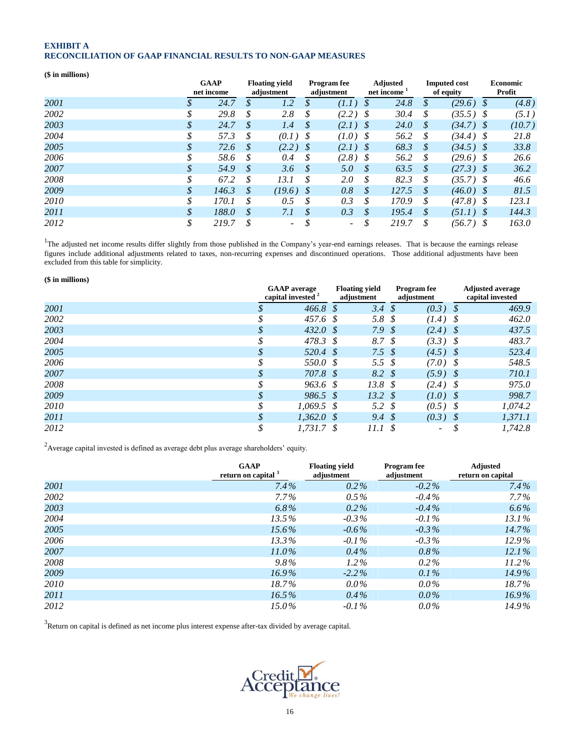#### **EXHIBIT A RECONCILIATION OF GAAP FINANCIAL RESULTS TO NON-GAAP MEASURES**

#### **(\$ in millions)**

|      |              | <b>GAAP</b><br>net income |    | <b>Floating yield</b><br>adjustment |    | <b>Program</b> fee<br>adjustment |               | <b>Adjusted</b><br>net income <sup>1</sup> | <b>Imputed cost</b><br>of equity |             | <b>Economic</b><br>Profit |
|------|--------------|---------------------------|----|-------------------------------------|----|----------------------------------|---------------|--------------------------------------------|----------------------------------|-------------|---------------------------|
| 2001 | $\mathbf{D}$ | 24.7                      | S  | 1.2                                 | S  | (1.1)                            | S             | 24.8                                       | S                                | $(29.6)$ \$ | (4.8)                     |
| 2002 | \$           | 29.8                      | \$ | 2.8                                 | \$ | $(2.2)$ \$                       |               | 30.4                                       | \$                               | $(35.5)$ \$ | (5.1)                     |
| 2003 | \$           | 24.7                      | S  | 1.4                                 | \$ | $(2.1)$ \$                       |               | 24.0                                       | $\mathcal{S}$                    | $(34.7)$ \$ | (10.7)                    |
| 2004 | \$           | 57.3                      | S  | $(0.1)$ \$                          |    | $(1.0)$ \$                       |               | 56.2                                       | \$                               | $(34.4)$ \$ | 21.8                      |
| 2005 | \$           | 72.6                      | S  | $(2.2)$ \$                          |    | $(2.1)$ \$                       |               | 68.3                                       | $\mathcal{S}$                    | $(34.5)$ \$ | 33.8                      |
| 2006 | \$           | 58.6                      | \$ | 0.4                                 | S  | $(2.8)$ \$                       |               | 56.2                                       | \$                               | $(29.6)$ \$ | 26.6                      |
| 2007 | \$           | 54.9                      | S  | 3.6                                 | \$ | 5.0                              | $\mathcal{S}$ | 63.5                                       | S.                               | $(27.3)$ \$ | 36.2                      |
| 2008 | \$           | 67.2                      | S  | 13.1                                | \$ | 2.0                              | S             | 82.3                                       | \$                               | $(35.7)$ \$ | 46.6                      |
| 2009 | \$           | 146.3                     | S  | $(19.6)$ \$                         |    | 0.8                              | S             | 127.5                                      | $\mathcal{S}_{0}$                | $(46.0)$ \$ | 81.5                      |
| 2010 | \$           | 170.1                     | \$ | 0.5                                 | \$ | 0.3                              | S             | 170.9                                      | \$                               | $(47.8)$ \$ | 123.1                     |
| 2011 | \$           | 188.0                     | \$ | 7.1                                 | \$ | 0.3                              | \$            | 195.4                                      | $\mathcal{S}$                    | $(51.1)$ \$ | 144.3                     |
| 2012 | \$           | 219.7                     |    | $\overline{\phantom{0}}$            |    | $\overline{\phantom{a}}$         |               | 219.7                                      | \$                               | $(56.7)$ \$ | 163.0                     |

<sup>1</sup>The adjusted net income results differ slightly from those published in the Company's year-end earnings releases. That is because the earnings release figures include additional adjustments related to taxes, non-recurring expenses and discontinued operations. Those additional adjustments have been excluded from this table for simplicity.

| $$$ in millions) |    |                                                      |     |                                     |      |                                  |                                             |         |  |
|------------------|----|------------------------------------------------------|-----|-------------------------------------|------|----------------------------------|---------------------------------------------|---------|--|
|                  |    | <b>GAAP</b> average<br>capital invested <sup>2</sup> |     | <b>Floating yield</b><br>adjustment |      | <b>Program</b> fee<br>adjustment | <b>Adjusted average</b><br>capital invested |         |  |
| 2001             |    | 466.8                                                | - S | 3.4                                 | S    | (0.3)                            | - \$                                        | 469.9   |  |
| 2002             | \$ | 457.6 \$                                             |     | 5.8                                 | - \$ | $(1.4)$ \$                       |                                             | 462.0   |  |
| 2003             | \$ | 432.0 \$                                             |     | 7.9 <sup>°</sup>                    |      | $(2.4)$ \$                       |                                             | 437.5   |  |
| 2004             | \$ | 478.3 \$                                             |     | 8.7 \$                              |      | $(3.3)$ \$                       |                                             | 483.7   |  |
| 2005             | \$ | 520.4 \$                                             |     | 7.5 \$                              |      | $(4.5)$ \$                       |                                             | 523.4   |  |
| 2006             | S  | 550.0 \$                                             |     | 5.5 \$                              |      | $(7.0)$ \$                       |                                             | 548.5   |  |
| 2007             | \$ | 707.8 \$                                             |     | 8.2 \$                              |      | $(5.9)$ \$                       |                                             | 710.1   |  |
| 2008             | \$ | 963.6 \$                                             |     | 13.8 <sup>°</sup>                   |      | $(2.4)$ \$                       |                                             | 975.0   |  |
| 2009             | \$ | $986.5 \text{ }$ \$                                  |     | $13.2 \text{ }$ \$                  |      | $(1.0)$ \$                       |                                             | 998.7   |  |
| 2010             | \$ | $1,069.5$ \$                                         |     | 5.2                                 | - \$ | $(0.5)$ \$                       |                                             | 1,074.2 |  |
| 2011             | \$ | $1,362.0$ \$                                         |     | $9.4 \text{ }$ \$                   |      | $(0.3)$ \$                       |                                             | 1,371.1 |  |
| 2012             | \$ | 1.731.7 S                                            |     | 11.1                                | - \$ | $\sim$                           | \$                                          | 1.742.8 |  |

<sup>2</sup> Average capital invested is defined as average debt plus average shareholders' equity.

|      | <b>GAAP</b><br>return on capital <sup>3</sup> | <b>Floating vield</b><br>adjustment | <b>Program</b> fee<br>adjustment | <b>Adjusted</b><br>return on capital |
|------|-----------------------------------------------|-------------------------------------|----------------------------------|--------------------------------------|
| 2001 | $7.4\%$                                       | $0.2\%$                             | $-0.2\%$                         | $7.4\%$                              |
| 2002 | $7.7\%$                                       | $0.5\%$                             | $-0.4\%$                         | $7.7\%$                              |
| 2003 | 6.8%                                          | $0.2\%$                             | $-0.4\%$                         | $6.6\%$                              |
| 2004 | 13.5%                                         | $-0.3\%$                            | $-0.1\%$                         | 13.1%                                |
| 2005 | $15.6\%$                                      | $-0.6\%$                            | $-0.3\%$                         | $14.7\%$                             |
| 2006 | $13.3\%$                                      | $-0.1\%$                            | $-0.3\%$                         | 12.9%                                |
| 2007 | $11.0\%$                                      | $0.4\%$                             | $0.8\%$                          | $12.1\%$                             |
| 2008 | $9.8\%$                                       | $1.2\%$                             | $0.2\%$                          | $11.2\%$                             |
| 2009 | $16.9\%$                                      | $-2.2\%$                            | $0.1\%$                          | 14.9%                                |
| 2010 | 18.7%                                         | $0.0\%$                             | $0.0\%$                          | $18.7\%$                             |
| 2011 | $16.5\%$                                      | $0.4\%$                             | $0.0\%$                          | $16.9\%$                             |
| 2012 | $15.0\%$                                      | $-0.1\%$                            | $0.0\%$                          | 14.9%                                |

 $3$ Return on capital is defined as net income plus interest expense after-tax divided by average capital.